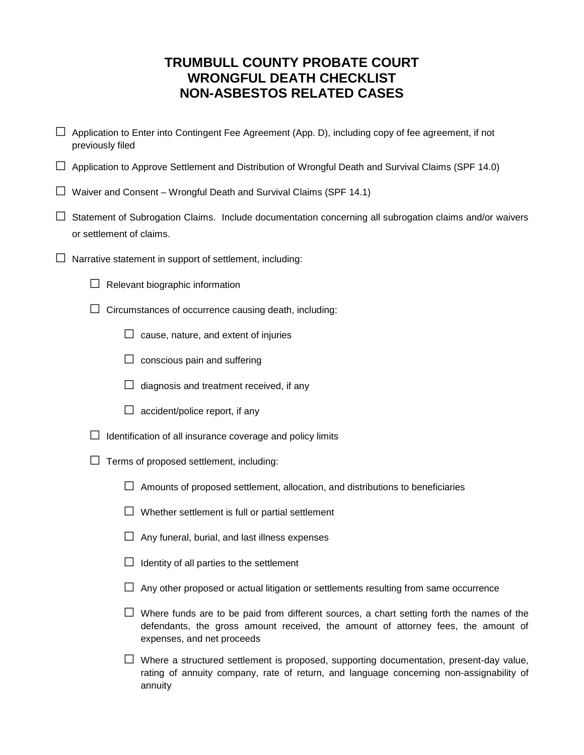## **TRUMBULL COUNTY PROBATE COURT WRONGFUL DEATH CHECKLIST NON-ASBESTOS RELATED CASES**

- $\Box$  Application to Enter into Contingent Fee Agreement (App. D), including copy of fee agreement, if not previously filed
- $\Box$  Application to Approve Settlement and Distribution of Wrongful Death and Survival Claims (SPF 14.0)
- $\Box$  Waiver and Consent Wrongful Death and Survival Claims (SPF 14.1)
- $\Box$  Statement of Subrogation Claims. Include documentation concerning all subrogation claims and/or waivers or settlement of claims.
- $\Box$  Narrative statement in support of settlement, including:
	- $\Box$  Relevant biographic information
	- $\Box$  Circumstances of occurrence causing death, including:
		- $\Box$  cause, nature, and extent of injuries
		- $\Box$  conscious pain and suffering
		- $\Box$  diagnosis and treatment received, if any
		- $\Box$  accident/police report, if any
	- $\Box$  Identification of all insurance coverage and policy limits
	- $\Box$  Terms of proposed settlement, including:
		- $\Box$  Amounts of proposed settlement, allocation, and distributions to beneficiaries
		- $\square$  Whether settlement is full or partial settlement
		- $\Box$  Any funeral, burial, and last illness expenses
		- $\Box$  Identity of all parties to the settlement
		- $\Box$  Any other proposed or actual litigation or settlements resulting from same occurrence
		- $\square$  Where funds are to be paid from different sources, a chart setting forth the names of the defendants, the gross amount received, the amount of attorney fees, the amount of expenses, and net proceeds
		- $\square$  Where a structured settlement is proposed, supporting documentation, present-day value, rating of annuity company, rate of return, and language concerning non-assignability of annuity